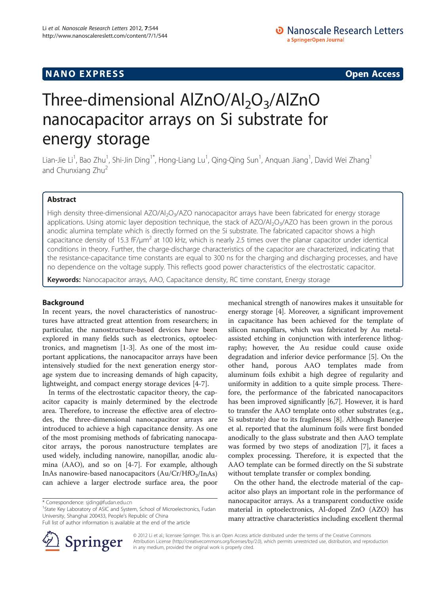## **NANO EXPRESS** Open Access and the set of the set of the set of the set of the set of the set of the set of the set of the set of the set of the set of the set of the set of the set of the set of the set of the set of the

# Three-dimensional AlZnO/Al<sub>2</sub>O<sub>3</sub>/AlZnO nanocapacitor arrays on Si substrate for energy storage

Lian-Jie Li<sup>1</sup>, Bao Zhu<sup>1</sup>, Shi-Jin Ding<sup>1\*</sup>, Hong-Liang Lu<sup>1</sup>, Qing-Qing Sun<sup>1</sup>, Anquan Jiang<sup>1</sup>, David Wei Zhang<sup>1</sup> and Chunxiang Zhu<sup>2</sup>

## Abstract

High density three-dimensional AZO/Al<sub>2</sub>O<sub>3</sub>/AZO nanocapacitor arrays have been fabricated for energy storage applications. Using atomic layer deposition technique, the stack of AZO/Al<sub>2</sub>O<sub>3</sub>/AZO has been grown in the porous anodic alumina template which is directly formed on the Si substrate. The fabricated capacitor shows a high capacitance density of 15.3 fF/ $\mu$ m<sup>2</sup> at 100 kHz, which is nearly 2.5 times over the planar capacitor under identical conditions in theory. Further, the charge-discharge characteristics of the capacitor are characterized, indicating that the resistance-capacitance time constants are equal to 300 ns for the charging and discharging processes, and have no dependence on the voltage supply. This reflects good power characteristics of the electrostatic capacitor.

Keywords: Nanocapacitor arrays, AAO, Capacitance density, RC time constant, Energy storage

## Background

In recent years, the novel characteristics of nanostructures have attracted great attention from researchers; in particular, the nanostructure-based devices have been explored in many fields such as electronics, optoelectronics, and magnetism [[1-3](#page-4-0)]. As one of the most important applications, the nanocapacitor arrays have been intensively studied for the next generation energy storage system due to increasing demands of high capacity, lightweight, and compact energy storage devices [[4-7\]](#page-4-0).

In terms of the electrostatic capacitor theory, the capacitor capacity is mainly determined by the electrode area. Therefore, to increase the effective area of electrodes, the three-dimensional nanocapacitor arrays are introduced to achieve a high capacitance density. As one of the most promising methods of fabricating nanocapacitor arrays, the porous nanostructure templates are used widely, including nanowire, nanopillar, anodic alumina (AAO), and so on [[4-7](#page-4-0)]. For example, although InAs nanowire-based nanocapacitors  $(Au/Cr/HfO<sub>2</sub>/InAs)$ can achieve a larger electrode surface area, the poor

<sup>1</sup>State Key Laboratory of ASIC and System, School of Microelectronics, Fudan University, Shanghai 200433, People's Republic of China

Full list of author information is available at the end of the article



mechanical strength of nanowires makes it unsuitable for energy storage [\[4](#page-4-0)]. Moreover, a significant improvement in capacitance has been achieved for the template of silicon nanopillars, which was fabricated by Au metalassisted etching in conjunction with interference lithography; however, the Au residue could cause oxide degradation and inferior device performance [\[5](#page-4-0)]. On the other hand, porous AAO templates made from aluminum foils exhibit a high degree of regularity and uniformity in addition to a quite simple process. Therefore, the performance of the fabricated nanocapacitors has been improved significantly [\[6,7](#page-4-0)]. However, it is hard to transfer the AAO template onto other substrates (e.g., Si substrate) due to its fragileness [[8\]](#page-4-0). Although Banerjee et al. reported that the aluminum foils were first bonded anodically to the glass substrate and then AAO template was formed by two steps of anodization [[7\]](#page-4-0), it faces a complex processing. Therefore, it is expected that the AAO template can be formed directly on the Si substrate without template transfer or complex bonding.

On the other hand, the electrode material of the capacitor also plays an important role in the performance of nanocapacitor arrays. As a transparent conductive oxide material in optoelectronics, Al-doped ZnO (AZO) has many attractive characteristics including excellent thermal

© 2012 Li et al.; licensee Springer. This is an Open Access article distributed under the terms of the Creative Commons Attribution License [\(http://creativecommons.org/licenses/by/2.0\)](http://creativecommons.org/licenses/by/2.0), which permits unrestricted use, distribution, and reproduction in any medium, provided the original work is properly cited.

<sup>\*</sup> Correspondence: [sjding@fudan.edu.cn](mailto:sjding@fudan.edu.cn) <sup>1</sup>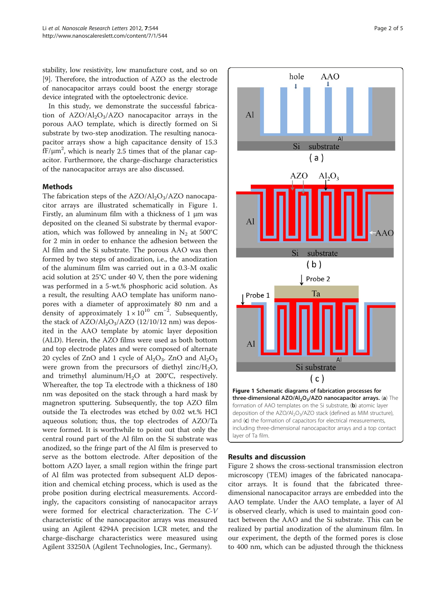stability, low resistivity, low manufacture cost, and so on [[9\]](#page-4-0). Therefore, the introduction of AZO as the electrode of nanocapacitor arrays could boost the energy storage device integrated with the optoelectronic device.

In this study, we demonstrate the successful fabrication of  $AZO/AI_2O_3/AZO$  nanocapacitor arrays in the porous AAO template, which is directly formed on Si substrate by two-step anodization. The resulting nanocapacitor arrays show a high capacitance density of 15.3  $fF/\mu m^2$ , which is nearly 2.5 times that of the planar capacitor. Furthermore, the charge-discharge characteristics of the nanocapacitor arrays are also discussed.

## Methods

The fabrication steps of the  $AZO/AI_2O_3/AZO$  nanocapacitor arrays are illustrated schematically in Figure 1. Firstly, an aluminum film with a thickness of 1 μm was deposited on the cleaned Si substrate by thermal evaporation, which was followed by annealing in  $N_2$  at 500°C for 2 min in order to enhance the adhesion between the Al film and the Si substrate. The porous AAO was then formed by two steps of anodization, i.e., the anodization of the aluminum film was carried out in a 0.3-M oxalic acid solution at 25°C under 40 V, then the pore widening was performed in a 5-wt.% phosphoric acid solution. As a result, the resulting AAO template has uniform nanopores with a diameter of approximately 80 nm and a density of approximately  $1 \times 10^{10}$  cm<sup>-2</sup>. Subsequently, the stack of  $AZO/AI_2O_3/AZO$  (12/10/12 nm) was deposited in the AAO template by atomic layer deposition (ALD). Herein, the AZO films were used as both bottom and top electrode plates and were composed of alternate 20 cycles of ZnO and 1 cycle of  $\text{Al}_2\text{O}_3$ . ZnO and  $\text{Al}_2\text{O}_3$ were grown from the precursors of diethyl zinc/ $H_2O$ , and trimethyl aluminum/H2O at 200°C, respectively. Whereafter, the top Ta electrode with a thickness of 180 nm was deposited on the stack through a hard mask by magnetron sputtering. Subsequently, the top AZO film outside the Ta electrodes was etched by 0.02 wt.% HCl aqueous solution; thus, the top electrodes of AZO/Ta were formed. It is worthwhile to point out that only the central round part of the Al film on the Si substrate was anodized, so the fringe part of the Al film is preserved to serve as the bottom electrode. After deposition of the bottom AZO layer, a small region within the fringe part of Al film was protected from subsequent ALD deposition and chemical etching process, which is used as the probe position during electrical measurements. Accordingly, the capacitors consisting of nanocapacitor arrays were formed for electrical characterization. The C-V characteristic of the nanocapacitor arrays was measured using an Agilent 4294A precision LCR meter, and the charge-discharge characteristics were measured using Agilent 33250A (Agilent Technologies, Inc., Germany).



## Results and discussion

Figure [2](#page-2-0) shows the cross-sectional transmission electron microscopy (TEM) images of the fabricated nanocapacitor arrays. It is found that the fabricated threedimensional nanocapacitor arrays are embedded into the AAO template. Under the AAO template, a layer of Al is observed clearly, which is used to maintain good contact between the AAO and the Si substrate. This can be realized by partial anodization of the aluminum film. In our experiment, the depth of the formed pores is close to 400 nm, which can be adjusted through the thickness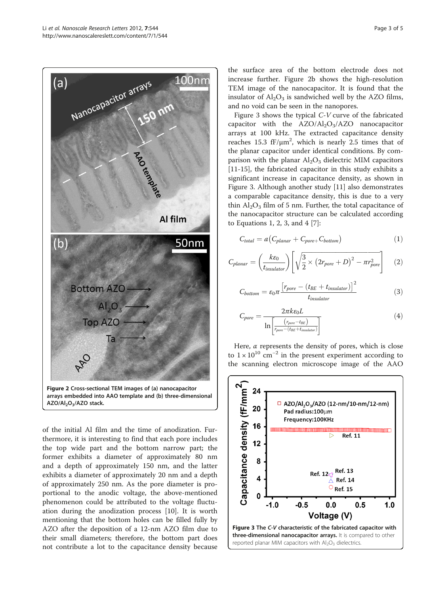<span id="page-2-0"></span>

arrays embedded into AAO template and (b) three-dimensional AZO/Al<sub>2</sub>O<sub>3</sub>/AZO stack.

of the initial Al film and the time of anodization. Furthermore, it is interesting to find that each pore includes the top wide part and the bottom narrow part; the former exhibits a diameter of approximately 80 nm and a depth of approximately 150 nm, and the latter exhibits a diameter of approximately 20 nm and a depth of approximately 250 nm. As the pore diameter is proportional to the anodic voltage, the above-mentioned phenomenon could be attributed to the voltage fluctuation during the anodization process [\[10](#page-4-0)]. It is worth mentioning that the bottom holes can be filled fully by AZO after the deposition of a 12-nm AZO film due to their small diameters; therefore, the bottom part does not contribute a lot to the capacitance density because

the surface area of the bottom electrode does not increase further. Figure 2b shows the high-resolution TEM image of the nanocapacitor. It is found that the insulator of  $Al_2O_3$  is sandwiched well by the AZO films, and no void can be seen in the nanopores.

Figure 3 shows the typical C-V curve of the fabricated capacitor with the  $AZO/AI_2O_3/AZO$  nanocapacitor arrays at 100 kHz. The extracted capacitance density reaches 15.3  $ff/\mu m^2$ , which is nearly 2.5 times that of the planar capacitor under identical conditions. By comparison with the planar  $Al_2O_3$  dielectric MIM capacitors [[11-15](#page-4-0)], the fabricated capacitor in this study exhibits a significant increase in capacitance density, as shown in Figure 3. Although another study [[11](#page-4-0)] also demonstrates a comparable capacitance density, this is due to a very thin  $Al_2O_3$  film of 5 nm. Further, the total capacitance of the nanocapacitor structure can be calculated according to Equations 1, 2, 3, and 4 [\[7](#page-4-0)]:

$$
C_{total} = a(C_{planar} + C_{pore} - C_{bottom})
$$
\n(1)

$$
C_{planar} = \left(\frac{k\varepsilon_0}{t_{insulator}}\right) \left[ \sqrt{\frac{3}{2} \times \left(2r_{pore} + D\right)^2 - \pi r_{pore}^2} \right] \tag{2}
$$

$$
C_{bottom} = \varepsilon_0 \pi \frac{\left[r_{pore} - (t_{BE} + t_{insulator})\right]^2}{t_{insulator}}
$$
\n(3)

$$
C_{pore} = \frac{2\pi k \varepsilon_0 L}{\ln\left[\frac{(r_{pore} - t_{BE})}{r_{pore} - (t_{BE} + t_{insulator})}\right]}\tag{4}
$$

Here,  $\alpha$  represents the density of pores, which is close to  $1 \times 10^{10}$  cm<sup>-2</sup> in the present experiment according to the scanning electron microscope image of the AAO

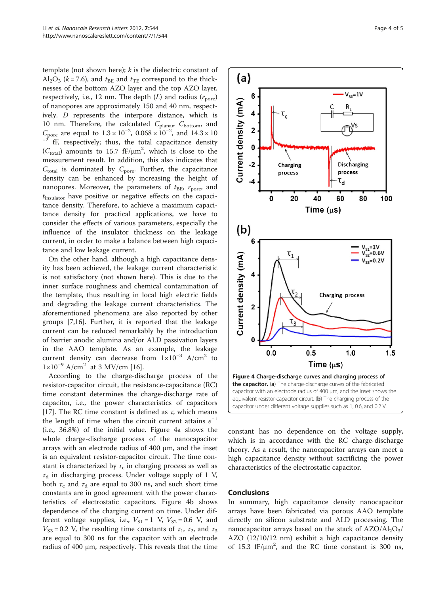template (not shown here);  $k$  is the dielectric constant of  $Al_2O_3$  ( $k = 7.6$ ), and  $t_{BE}$  and  $t_{TE}$  correspond to the thicknesses of the bottom AZO layer and the top AZO layer, respectively, i.e., 12 nm. The depth  $(L)$  and radius  $(r_{\text{pore}})$ of nanopores are approximately 150 and 40 nm, respectively. D represents the interpore distance, which is 10 nm. Therefore, the calculated  $C_{\text{planar}}$ ,  $C_{\text{bottom}}$ , and  $C_{\text{pore}}$  are equal to  $1.3 \times 10^{-2}$ ,  $0.068 \times 10^{-2}$ fF, respectively; thus, the total capacitance density ( $C_{\text{total}}$ ) amounts to 15.7 fF/ $\mu$ m<sup>2</sup>, which is close to the measurement result. In addition, this also indicates that  $C_{\text{total}}$  is dominated by  $C_{\text{pore}}$ . Further, the capacitance density can be enhanced by increasing the height of nanopores. Moreover, the parameters of  $t_{BE}$ ,  $r_{pore}$ , and  $t_{\text{insulator}}$  have positive or negative effects on the capacitance density. Therefore, to achieve a maximum capacitance density for practical applications, we have to consider the effects of various parameters, especially the influence of the insulator thickness on the leakage current, in order to make a balance between high capacitance and low leakage current.

On the other hand, although a high capacitance density has been achieved, the leakage current characteristic is not satisfactory (not shown here). This is due to the inner surface roughness and chemical contamination of the template, thus resulting in local high electric fields and degrading the leakage current characteristics. The aforementioned phenomena are also reported by other groups [\[7,16\]](#page-4-0). Further, it is reported that the leakage current can be reduced remarkably by the introduction of barrier anodic alumina and/or ALD passivation layers in the AAO template. As an example, the leakage current density can decrease from  $1\times10^{-3}$  A/cm<sup>2</sup> to  $1 \times 10^{-9}$  A/cm<sup>2</sup> at 3 MV/cm [\[16](#page-4-0)].

According to the charge-discharge process of the resistor-capacitor circuit, the resistance-capacitance (RC) time constant determines the charge-discharge rate of capacitor, i.e., the power characteristics of capacitors [[17\]](#page-4-0). The RC time constant is defined as  $\tau$ , which means the length of time when the circuit current attains  $e^{-1}$ (i.e., 36.8%) of the initial value. Figure 4a shows the whole charge-discharge process of the nanocapacitor arrays with an electrode radius of 400 μm, and the inset is an equivalent resistor-capacitor circuit. The time constant is characterized by  $\tau_c$  in charging process as well as  $\tau_d$  in discharging process. Under voltage supply of 1 V, both  $\tau_c$  and  $\tau_d$  are equal to 300 ns, and such short time constants are in good agreement with the power characteristics of electrostatic capacitors. Figure 4b shows dependence of the charging current on time. Under different voltage supplies, i.e.,  $V_{S1} = 1$  V,  $V_{S2} = 0.6$  V, and  $V_{\text{S3}} = 0.2$  V, the resulting time constants of  $\tau_1$ ,  $\tau_2$ , and  $\tau_3$ are equal to 300 ns for the capacitor with an electrode radius of 400 μm, respectively. This reveals that the time



constant has no dependence on the voltage supply, which is in accordance with the RC charge-discharge theory. As a result, the nanocapacitor arrays can meet a high capacitance density without sacrificing the power characteristics of the electrostatic capacitor.

## Conclusions

In summary, high capacitance density nanocapacitor arrays have been fabricated via porous AAO template directly on silicon substrate and ALD processing. The nanocapacitor arrays based on the stack of  $A ZO/A I_2O_3/$ AZO (12/10/12 nm) exhibit a high capacitance density of 15.3  $ff/\mu m^2$ , and the RC time constant is 300 ns,